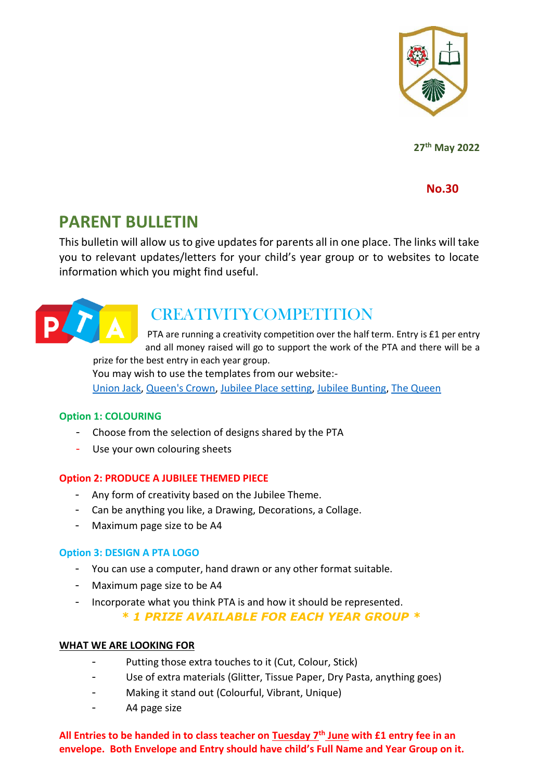

**27 th May 2022** 

**No.30**

# **PARENT BULLETIN**

This bulletin will allow us to give updates for parents all in one place. The links will take you to relevant updates/letters for your child's year group or to websites to locate information which you might find useful.



# **CREATIVITYCOMPETITION**

PTA are running a creativity competition over the half term. Entry is £1 per entry and all money raised will go to support the work of the PTA and there will be a prize for the best entry in each year group.

You may wish to use the templates from our website:- [Union Jack,](https://www.stjames.tgacademy.org.uk/?wpfb_dl=619) [Queen's Crown,](https://www.stjames.tgacademy.org.uk/?wpfb_dl=618) [Jubilee Place setting,](https://www.stjames.tgacademy.org.uk/?wpfb_dl=617) [Jubilee Bunting,](https://www.stjames.tgacademy.org.uk/?wpfb_dl=616) [The Queen](https://www.stjames.tgacademy.org.uk/?wpfb_dl=621)

#### **Option 1: COLOURING**

- Choose from the selection of designs shared by the PTA
- Use your own colouring sheets

#### **Option 2: PRODUCE A JUBILEE THEMED PIECE**

- Any form of creativity based on the Jubilee Theme.
- Can be anything you like, a Drawing, Decorations, a Collage.
- Maximum page size to be A4

#### **Option 3: DESIGN A PTA LOGO**

- You can use a computer, hand drawn or any other format suitable.
- Maximum page size to be A4
- Incorporate what you think PTA is and how it should be represented.

*\* 1 PRIZE AVAILABLE FOR EACH YEAR GROUP \**

#### **WHAT WE ARE LOOKING FOR**

- Putting those extra touches to it (Cut, Colour, Stick)
- Use of extra materials (Glitter, Tissue Paper, Dry Pasta, anything goes)
- Making it stand out (Colourful, Vibrant, Unique)
- A4 page size

**All Entries to be handed in to class teacher on Tuesday 7th June with £1 entry fee in an envelope. Both Envelope and Entry should have child's Full Name and Year Group on it.**